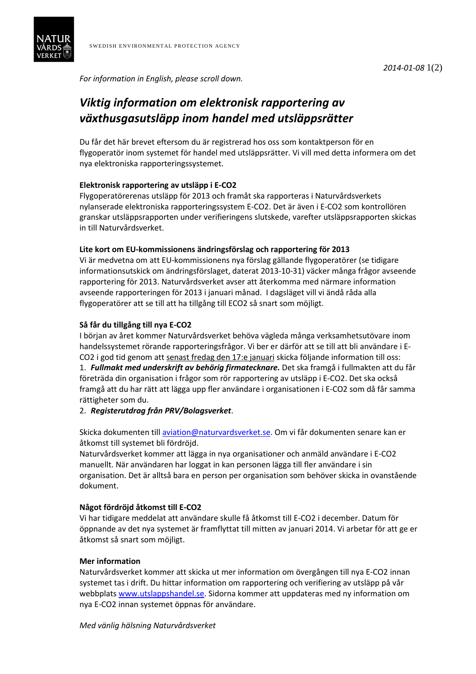

*For information in English, please scroll down.* 

# *Viktig information om elektronisk rapportering av växthusgasutsläpp inom handel med utsläppsrätter*

Du får det här brevet eftersom du är registrerad hos oss som kontaktperson för en flygoperatör inom systemet för handel med utsläppsrätter. Vi vill med detta informera om det nya elektroniska rapporteringssystemet.

# **Elektronisk rapportering av utsläpp i E-CO2**

Flygoperatörerenas utsläpp för 2013 och framåt ska rapporteras i Naturvårdsverkets nylanserade elektroniska rapporteringssystem E-CO2. Det är även i E-CO2 som kontrollören granskar utsläppsrapporten under verifieringens slutskede, varefter utsläppsrapporten skickas in till Naturvårdsverket.

## **Lite kort om EU-kommissionens ändringsförslag och rapportering för 2013**

Vi är medvetna om att EU-kommissionens nya förslag gällande flygoperatörer (se tidigare informationsutskick om ändringsförslaget, daterat 2013-10-31) väcker många frågor avseende rapportering för 2013. Naturvårdsverket avser att återkomma med närmare information avseende rapporteringen för 2013 i januari månad. I dagsläget vill vi ändå råda alla flygoperatörer att se till att ha tillgång till ECO2 så snart som möjligt.

## **Så får du tillgång till nya E-CO2**

I början av året kommer Naturvårdsverket behöva vägleda många verksamhetsutövare inom handelssystemet rörande rapporteringsfrågor. Vi ber er därför att se till att bli användare i E-CO2 i god tid genom att senast fredag den 17:e januari skicka följande information till oss: 1. *Fullmakt med underskrift av behörig firmatecknare.* Det ska framgå i fullmakten att du får företräda din organisation i frågor som rör rapportering av utsläpp i E-CO2. Det ska också framgå att du har rätt att lägga upp fler användare i organisationen i E-CO2 som då får samma rättigheter som du.

# 2. *Registerutdrag från PRV/Bolagsverket*.

Skicka dokumenten till aviation@naturvardsverket.se. Om vi får dokumenten senare kan er åtkomst till systemet bli fördröjd.

Naturvårdsverket kommer att lägga in nya organisationer och anmäld användare i E-CO2 manuellt. När användaren har loggat in kan personen lägga till fler användare i sin organisation. Det är alltså bara en person per organisation som behöver skicka in ovanstående dokument.

#### **Något fördröjd åtkomst till E-CO2**

Vi har tidigare meddelat att användare skulle få åtkomst till E-CO2 i december. Datum för öppnande av det nya systemet är framflyttat till mitten av januari 2014. Vi arbetar för att ge er åtkomst så snart som möjligt.

#### **Mer information**

Naturvårdsverket kommer att skicka ut mer information om övergången till nya E-CO2 innan systemet tas i drift. Du hittar information om rapportering och verifiering av utsläpp på vår webbplats www.utslappshandel.se. Sidorna kommer att uppdateras med ny information om nya E-CO2 innan systemet öppnas för användare.